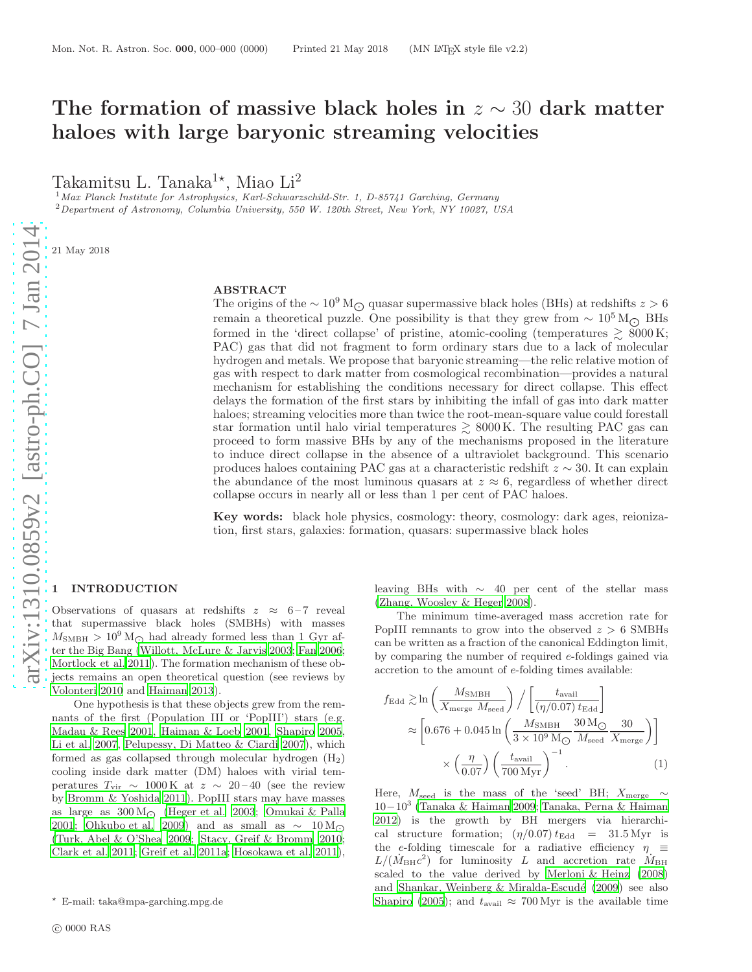# The formation of massive black holes in  $z \sim 30$  dark matter haloes with large baryonic streaming velocities

Takamitsu L. Tanaka $^{1\star}$ , Miao Li<sup>2</sup>

<sup>1</sup> Max Planck Institute for Astrophysics, Karl-Schwarzschild-Str. 1, D-85741 Garching, Germany <sup>2</sup>Department of Astronomy, Columbia University, 550 W. 120th Street, New York, NY 10027, USA

21 May 2018

#### ABSTRACT

The origins of the  $\sim 10^9 \,\mathrm{M}_{\odot}$  quasar supermassive black holes (BHs) at redshifts  $z > 6$ remain a theoretical puzzle. One possibility is that they grew from  $\sim 10^5 \,\mathrm{M}_{\odot}$  BHs formed in the 'direct collapse' of pristine, atomic-cooling (temperatures  $\gtrsim 8000 \,\mathrm{K}$ ; PAC) gas that did not fragment to form ordinary stars due to a lack of molecular hydrogen and metals. We propose that baryonic streaming—the relic relative motion of gas with respect to dark matter from cosmological recombination—provides a natural mechanism for establishing the conditions necessary for direct collapse. This effect delays the formation of the first stars by inhibiting the infall of gas into dark matter haloes; streaming velocities more than twice the root-mean-square value could forestall star formation until halo virial temperatures  $\gtrsim 8000 \,\mathrm{K}$ . The resulting PAC gas can proceed to form massive BHs by any of the mechanisms proposed in the literature to induce direct collapse in the absence of a ultraviolet background. This scenario produces haloes containing PAC gas at a characteristic redshift  $z \sim 30$ . It can explain the abundance of the most luminous quasars at  $z \approx 6$ , regardless of whether direct collapse occurs in nearly all or less than 1 per cent of PAC haloes.

Key words: black hole physics, cosmology: theory, cosmology: dark ages, reionization, first stars, galaxies: formation, quasars: supermassive black holes

### <span id="page-0-1"></span>**INTRODUCTION**

Observations of quasars at redshifts  $z \approx 6-7$  reveal that supermassive black holes (SMBHs) with masses  $M_{\text{SMBH}} > 10^9 \,\text{M}_{\odot}$  had already formed less than 1 Gyr after the Big Bang [\(Willott, McLure & Jarvis 2003;](#page-9-0) [Fan 2006;](#page-8-0) [Mortlock et al. 2011](#page-8-1)). The formation mechanism of these objects remains an open theoretical question (see reviews by [Volonteri 2010](#page-9-1) and [Haiman 2013](#page-8-2)).

One hypothesis is that these objects grew from the remnants of the first (Population III or 'PopIII') stars (e.g. [Madau & Rees 2001](#page-8-3), [Haiman & Loeb 2001](#page-8-4), [Shapiro 2005,](#page-8-5) [Li et al. 2007,](#page-8-6) [Pelupessy, Di Matteo & Ciardi 2007](#page-8-7)), which formed as gas collapsed through molecular hydrogen  $(H_2)$ cooling inside dark matter (DM) haloes with virial temperatures  $T_{\text{vir}} \sim 1000 \,\text{K}$  at  $z \sim 20-40$  (see the review by [Bromm & Yoshida 2011\)](#page-8-8). PopIII stars may have masses as large as  $300 \,\mathrm{M}_{\odot}$  [\(Heger et al. 2003;](#page-8-9) [Omukai & Palla](#page-8-10) [2001](#page-8-10); [Ohkubo et al. 2009](#page-8-11)) and as small as  $\sim 10 \,\mathrm{M}_{\odot}$ [\(Turk, Abel & O'Shea 2009](#page-9-2); [Stacy, Greif & Bromm 2010;](#page-9-3) [Clark et al. 2011](#page-8-12); [Greif et al. 2011a;](#page-8-13) [Hosokawa et al. 2011](#page-8-14)), leaving BHs with  $\sim$  40 per cent of the stellar mass [\(Zhang, Woosley & Heger 2008\)](#page-9-4).

The minimum time-averaged mass accretion rate for PopIII remnants to grow into the observed  $z > 6$  SMBHs can be written as a fraction of the canonical Eddington limit, by comparing the number of required e-foldings gained via accretion to the amount of e-folding times available:

<span id="page-0-0"></span>
$$
f_{\rm Edd} \gtrsim \ln \left( \frac{M_{\rm SMBH}}{X_{\rm merge} M_{\rm seed}} \right) / \left[ \frac{t_{\rm avail}}{(\eta/0.07) t_{\rm Edd}} \right]
$$

$$
\approx \left[ 0.676 + 0.045 \ln \left( \frac{M_{\rm SMBH}}{3 \times 10^9 \, \text{M}_{\odot}} \frac{30 \, \text{M}_{\odot}}{M_{\rm seed}} \frac{30}{X_{\rm merge}} \right) \right]
$$

$$
\times \left( \frac{\eta}{0.07} \right) \left( \frac{t_{\rm avail}}{700 \, \text{Myr}} \right)^{-1} . \tag{1}
$$

Here,  $M_{\rm seed}$  is the mass of the 'seed' BH;  $X_{\rm merge} \sim$ 10−10<sup>3</sup> [\(Tanaka & Haiman 2009](#page-9-5); [Tanaka, Perna & Haiman](#page-9-6) [2012](#page-9-6)) is the growth by BH mergers via hierarchical structure formation;  $(\eta/0.07) t_{\text{Edd}} = 31.5 \text{ Myr}$  is the e-folding timescale for a radiative efficiency  $\eta \equiv$  $L/(\dot{M}_{\rm BH}c^2)$  for luminosity L and accretion rate  $\dot{M}_{\rm BH}$ scaled to the value derived by [Merloni & Heinz \(2008](#page-8-15)) and Shankar, Weinberg & Miralda-Escudé (2009) see also [Shapiro \(2005\)](#page-8-5); and  $t_{\text{avail}} \approx 700 \,\text{Myr}$  is the available time

<sup>⋆</sup> E-mail: taka@mpa-garching.mpg.de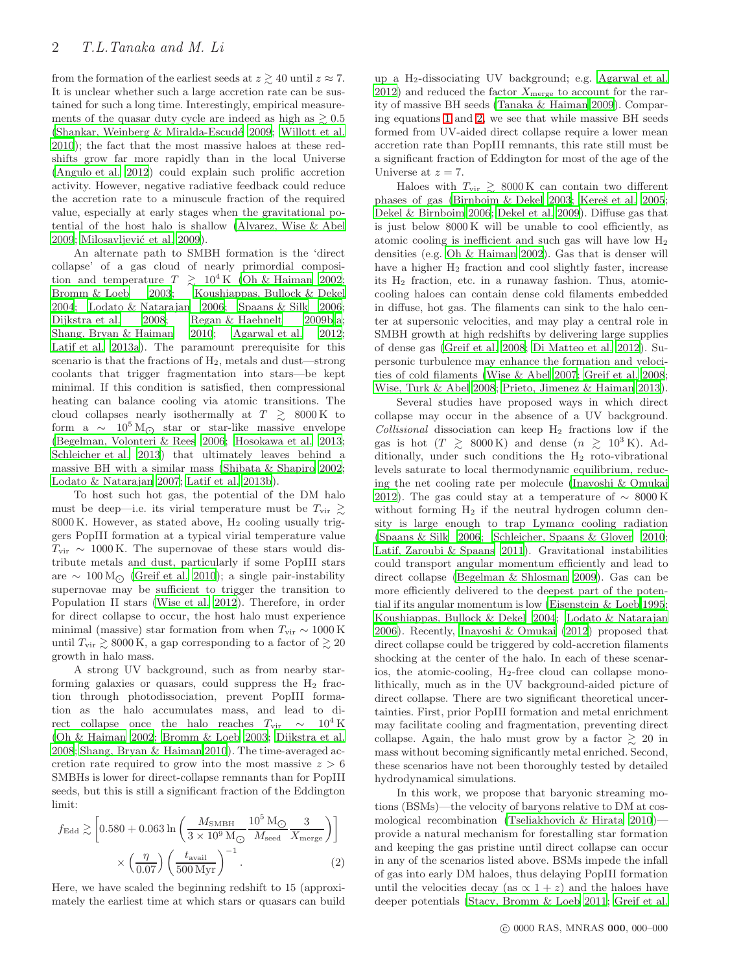from the formation of the earliest seeds at  $z \gtrsim 40$  until  $z \approx 7$ . It is unclear whether such a large accretion rate can be sustained for such a long time. Interestingly, empirical measurements of the quasar duty cycle are indeed as high as  $\geq 0.5$ (Shankar, Weinberg  $& Miralda-Escudé 2009; Willott et al.$  $& Miralda-Escudé 2009; Willott et al.$ [2010](#page-9-7)); the fact that the most massive haloes at these redshifts grow far more rapidly than in the local Universe [\(Angulo et al. 2012](#page-8-17)) could explain such prolific accretion activity. However, negative radiative feedback could reduce the accretion rate to a minuscule fraction of the required value, especially at early stages when the gravitational potential of the host halo is shallow [\(Alvarez, Wise & Abel](#page-8-18) [2009](#page-8-18); Milosavljević et al. 2009).

An alternate path to SMBH formation is the 'direct collapse' of a gas cloud of nearly primordial composition and temperature  $T \geq 10^4$  K [\(Oh & Haiman 2002;](#page-8-20) [Bromm & Loeb 2003;](#page-8-21) [Koushiappas, Bullock & Dekel](#page-8-22) [2004](#page-8-22); [Lodato & Natarajan 2006;](#page-8-23) [Spaans & Silk 2006;](#page-9-8) [Dijkstra et al. 2008;](#page-8-24) [Regan & Haehnelt 2009b](#page-8-25)[,a;](#page-8-26) [Shang, Bryan & Haiman 2010](#page-8-27); [Agarwal et al. 2012;](#page-8-28) [Latif et al. 2013a\)](#page-8-29). The paramount prerequisite for this scenario is that the fractions of  $H_2$ , metals and dust—strong coolants that trigger fragmentation into stars—be kept minimal. If this condition is satisfied, then compressional heating can balance cooling via atomic transitions. The cloud collapses nearly isothermally at  $T \gtrsim 8000 \,\mathrm{K}$  to form a  $\sim 10^5 \,\mathrm{M}_\odot$  star or star-like massive envelope [\(Begelman, Volonteri & Rees 2006](#page-8-30); [Hosokawa et al. 2013;](#page-8-31) [Schleicher et al. 2013\)](#page-8-32) that ultimately leaves behind a massive BH with a similar mass [\(Shibata & Shapiro 2002;](#page-9-9) [Lodato & Natarajan 2007](#page-8-33); [Latif et al. 2013b](#page-8-34)).

To host such hot gas, the potential of the DM halo must be deep—i.e. its virial temperature must be  $T_{\rm vir} \geq$  $8000$  K. However, as stated above,  $H_2$  cooling usually triggers PopIII formation at a typical virial temperature value  $T_{\text{vir}} \sim 1000 \,\text{K}$ . The supernovae of these stars would distribute metals and dust, particularly if some PopIII stars are  $\sim 100 \,\mathrm{M}_{\odot}$  [\(Greif et al. 2010](#page-8-35)); a single pair-instability supernovae may be sufficient to trigger the transition to Population II stars [\(Wise et al. 2012](#page-9-10)). Therefore, in order for direct collapse to occur, the host halo must experience minimal (massive) star formation from when  $T_{\rm vir} \sim 1000 \,\rm K$ until  $T_{\rm vir} \gtrsim 8000 \,\mathrm{K}$ , a gap corresponding to a factor of  $\gtrsim 20$ growth in halo mass.

A strong UV background, such as from nearby starforming galaxies or quasars, could suppress the  $H_2$  fraction through photodissociation, prevent PopIII formation as the halo accumulates mass, and lead to direct collapse once the halo reaches  $T_{\text{vir}} \sim 10^4 \text{ K}$ [\(Oh & Haiman 2002](#page-8-20); [Bromm & Loeb 2003](#page-8-21); [Dijkstra et al.](#page-8-24) [2008](#page-8-24); [Shang, Bryan & Haiman 2010](#page-8-27)). The time-averaged accretion rate required to grow into the most massive  $z > 6$ SMBHs is lower for direct-collapse remnants than for PopIII seeds, but this is still a significant fraction of the Eddington limit:

$$
f_{\rm Edd} \gtrsim \left[ 0.580 + 0.063 \ln \left( \frac{M_{\rm SMBH}}{3 \times 10^9 \, \rm M_{\odot}} \frac{10^5 \, \rm M_{\odot}}{M_{\rm seed}} \frac{3}{X_{\rm merge}} \right) \right]
$$

$$
\times \left( \frac{\eta}{0.07} \right) \left( \frac{t_{\rm avail}}{500 \, \rm Myr} \right)^{-1} . \tag{2}
$$

Here, we have scaled the beginning redshift to 15 (approximately the earliest time at which stars or quasars can build

up a H2-dissociating UV background; e.g. [Agarwal et al.](#page-8-28) [2012](#page-8-28)) and reduced the factor  $X_{\text{merge}}$  to account for the rarity of massive BH seeds [\(Tanaka & Haiman 2009](#page-9-5)). Comparing equations [1](#page-0-0) and [2,](#page-1-0) we see that while massive BH seeds formed from UV-aided direct collapse require a lower mean accretion rate than PopIII remnants, this rate still must be a significant fraction of Eddington for most of the age of the Universe at  $z = 7$ .

Haloes with  $T_{\rm vir}$   $\, \gtrsim \,$  8000 K can contain two different phases of gas [\(Birnboim & Dekel 2003](#page-8-36); Kereš et al. 2005; [Dekel & Birnboim 2006;](#page-8-38) [Dekel et al. 2009](#page-8-39)). Diffuse gas that is just below 8000 K will be unable to cool efficiently, as atomic cooling is inefficient and such gas will have low H<sup>2</sup> densities (e.g. [Oh & Haiman 2002](#page-8-20)). Gas that is denser will have a higher H<sup>2</sup> fraction and cool slightly faster, increase its H<sup>2</sup> fraction, etc. in a runaway fashion. Thus, atomiccooling haloes can contain dense cold filaments embedded in diffuse, hot gas. The filaments can sink to the halo center at supersonic velocities, and may play a central role in SMBH growth at high redshifts by delivering large supplies of dense gas [\(Greif et al. 2008;](#page-8-40) [Di Matteo et al. 2012](#page-8-41)). Supersonic turbulence may enhance the formation and velocities of cold filaments [\(Wise & Abel 2007](#page-9-11); [Greif et al. 2008](#page-8-40); [Wise, Turk & Abel 2008](#page-9-12); [Prieto, Jimenez & Haiman 2013](#page-8-42)).

Several studies have proposed ways in which direct collapse may occur in the absence of a UV background.  $Collisional$  dissociation can keep  $H_2$  fractions low if the gas is hot  $(T \ge 8000 \text{ K})$  and dense  $(n \ge 10^3 \text{ K})$ . Additionally, under such conditions the  $H_2$  roto-vibrational levels saturate to local thermodynamic equilibrium, reducing the net cooling rate per molecule [\(Inayoshi & Omukai](#page-8-43) [2012](#page-8-43)). The gas could stay at a temperature of  $\sim 8000 \,\mathrm{K}$ without forming  $H_2$  if the neutral hydrogen column density is large enough to trap Lyman $\alpha$  cooling radiation [\(Spaans & Silk 2006](#page-9-8); [Schleicher, Spaans & Glover 2010](#page-8-44); [Latif, Zaroubi & Spaans 2011\)](#page-8-45). Gravitational instabilities could transport angular momentum efficiently and lead to direct collapse [\(Begelman & Shlosman 2009\)](#page-8-46). Gas can be more efficiently delivered to the deepest part of the potential if its angular momentum is low [\(Eisenstein & Loeb 1995](#page-8-47); [Koushiappas, Bullock & Dekel 2004;](#page-8-22) [Lodato & Natarajan](#page-8-23) [2006](#page-8-23)). Recently, [Inayoshi & Omukai \(2012](#page-8-43)) proposed that direct collapse could be triggered by cold-accretion filaments shocking at the center of the halo. In each of these scenarios, the atomic-cooling,  $H_2$ -free cloud can collapse monolithically, much as in the UV background-aided picture of direct collapse. There are two significant theoretical uncertainties. First, prior PopIII formation and metal enrichment may facilitate cooling and fragmentation, preventing direct collapse. Again, the halo must grow by a factor  $\gtrsim 20$  in mass without becoming significantly metal enriched. Second, these scenarios have not been thoroughly tested by detailed hydrodynamical simulations.

<span id="page-1-0"></span>In this work, we propose that baryonic streaming motions (BSMs)—the velocity of baryons relative to DM at cosmological recombination [\(Tseliakhovich & Hirata 2010](#page-9-13)) provide a natural mechanism for forestalling star formation and keeping the gas pristine until direct collapse can occur in any of the scenarios listed above. BSMs impede the infall of gas into early DM haloes, thus delaying PopIII formation until the velocities decay (as  $\propto 1 + z$ ) and the haloes have deeper potentials [\(Stacy, Bromm & Loeb 2011](#page-9-14); [Greif et al.](#page-8-48)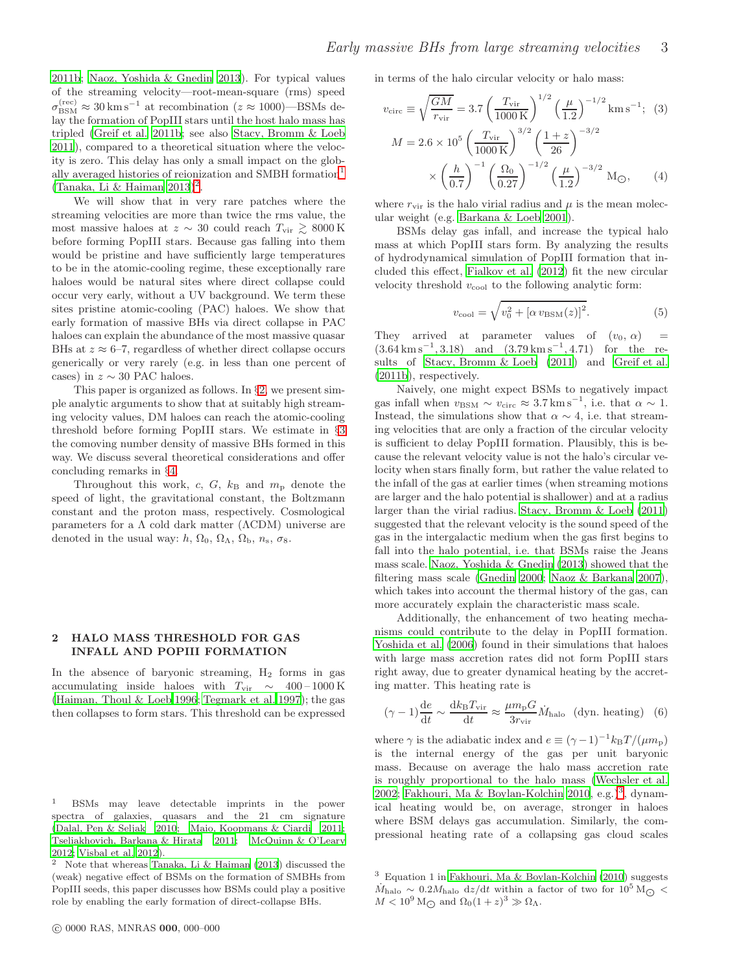[2011b;](#page-8-48) [Naoz, Yoshida & Gnedin 2013](#page-8-49)). For typical values of the streaming velocity—root-mean-square (rms) speed  $\sigma_{\rm BSM}^{\rm (rec)} \approx 30\,{\rm km\,s^{-1}}$  at recombination ( $z \approx 1000$ )—BSMs delay the formation of PopIII stars until the host halo mass has tripled [\(Greif et al. 2011b;](#page-8-48) see also [Stacy, Bromm & Loeb](#page-9-14) [2011](#page-9-14)), compared to a theoretical situation where the velocity is zero. This delay has only a small impact on the glob-ally averaged histories of reionization and SMBH formation<sup>[1](#page-2-0)</sup>  $(Tanaka, Li & Haiman 2013)^2$  $(Tanaka, Li & Haiman 2013)^2$  $(Tanaka, Li & Haiman 2013)^2$ .

We will show that in very rare patches where the streaming velocities are more than twice the rms value, the most massive haloes at  $z \sim 30$  could reach  $T_{\text{vir}} \geq 8000 \,\text{K}$ before forming PopIII stars. Because gas falling into them would be pristine and have sufficiently large temperatures to be in the atomic-cooling regime, these exceptionally rare haloes would be natural sites where direct collapse could occur very early, without a UV background. We term these sites pristine atomic-cooling (PAC) haloes. We show that early formation of massive BHs via direct collapse in PAC haloes can explain the abundance of the most massive quasar BHs at  $z \approx 6-7$ , regardless of whether direct collapse occurs generically or very rarely (e.g. in less than one percent of cases) in  $z \sim 30$  PAC haloes.

This paper is organized as follows. In §[2,](#page-2-2) we present simple analytic arguments to show that at suitably high streaming velocity values, DM haloes can reach the atomic-cooling threshold before forming PopIII stars. We estimate in §[3](#page-3-0) the comoving number density of massive BHs formed in this way. We discuss several theoretical considerations and offer concluding remarks in §[4.](#page-6-0)

Throughout this work, c, G,  $k_B$  and  $m_p$  denote the speed of light, the gravitational constant, the Boltzmann constant and the proton mass, respectively. Cosmological parameters for a  $\Lambda$  cold dark matter ( $\Lambda$ CDM) universe are denoted in the usual way:  $h$ ,  $\Omega_0$ ,  $\Omega_\Lambda$ ,  $\Omega_\mathrm{b}$ ,  $n_s$ ,  $\sigma_8$ .

# <span id="page-2-2"></span>2 HALO MASS THRESHOLD FOR GAS INFALL AND POPIII FORMATION

In the absence of baryonic streaming,  $H_2$  forms in gas accumulating inside haloes with  $T_{\text{vir}} \sim 400 - 1000 \text{ K}$ [\(Haiman, Thoul & Loeb 1996](#page-8-50); [Tegmark et al. 1997](#page-9-16)); the gas then collapses to form stars. This threshold can be expressed in terms of the halo circular velocity or halo mass:

$$
v_{\text{circ}} \equiv \sqrt{\frac{GM}{r_{\text{vir}}}} = 3.7 \left(\frac{T_{\text{vir}}}{1000 \text{ K}}\right)^{1/2} \left(\frac{\mu}{1.2}\right)^{-1/2} \text{km s}^{-1}; \quad (3)
$$

$$
M = 2.6 \times 10^5 \left(\frac{T_{\text{vir}}}{1000 \text{ K}}\right)^{3/2} \left(\frac{1+z}{26}\right)^{-3/2}
$$

$$
\times \left(\frac{h}{0.7}\right)^{-1} \left(\frac{\Omega_0}{0.27}\right)^{-1/2} \left(\frac{\mu}{1.2}\right)^{-3/2} \text{ M}_{\bigodot}, \quad (4)
$$

where  $r_{\text{vir}}$  is the halo virial radius and  $\mu$  is the mean molecular weight (e.g. [Barkana & Loeb 2001\)](#page-8-54).

BSMs delay gas infall, and increase the typical halo mass at which PopIII stars form. By analyzing the results of hydrodynamical simulation of PopIII formation that included this effect, [Fialkov et al. \(2012\)](#page-8-55) fit the new circular velocity threshold  $v_{\text{cool}}$  to the following analytic form:

<span id="page-2-5"></span><span id="page-2-4"></span>
$$
v_{\text{cool}} = \sqrt{v_0^2 + [\alpha v_{\text{BSM}}(z)]^2}.
$$
 (5)

They arrived at parameter values of  $(v_0, \alpha)$  =  $(3.64 \text{ km s}^{-1}, 3.18)$  and  $(3.79 \text{ km s}^{-1}, 4.71)$  for the results of [Stacy, Bromm & Loeb \(2011\)](#page-9-14) and [Greif et al.](#page-8-48) [\(2011b](#page-8-48)), respectively.

Naively, one might expect BSMs to negatively impact gas infall when  $v_{BSM} \sim v_{circ} \approx 3.7 \,\mathrm{km \,s}^{-1}$ , i.e. that  $\alpha \sim 1$ . Instead, the simulations show that  $\alpha \sim 4$ , i.e. that streaming velocities that are only a fraction of the circular velocity is sufficient to delay PopIII formation. Plausibly, this is because the relevant velocity value is not the halo's circular velocity when stars finally form, but rather the value related to the infall of the gas at earlier times (when streaming motions are larger and the halo potential is shallower) and at a radius larger than the virial radius. [Stacy, Bromm & Loeb \(2011](#page-9-14)) suggested that the relevant velocity is the sound speed of the gas in the intergalactic medium when the gas first begins to fall into the halo potential, i.e. that BSMs raise the Jeans mass scale. [Naoz, Yoshida & Gnedin \(2013](#page-8-49)) showed that the filtering mass scale [\(Gnedin 2000](#page-8-56); [Naoz & Barkana 2007](#page-8-57)), which takes into account the thermal history of the gas, can more accurately explain the characteristic mass scale.

Additionally, the enhancement of two heating mechanisms could contribute to the delay in PopIII formation. [Yoshida et al. \(2006](#page-9-19)) found in their simulations that haloes with large mass accretion rates did not form PopIII stars right away, due to greater dynamical heating by the accreting matter. This heating rate is

$$
(\gamma - 1)\frac{\mathrm{d}e}{\mathrm{d}t} \sim \frac{\mathrm{d}k_{\mathrm{B}}T_{\mathrm{vir}}}{\mathrm{d}t} \approx \frac{\mu m_{\mathrm{p}}G}{3r_{\mathrm{vir}}} \dot{M}_{\mathrm{halo}} \quad \text{(dyn. heating)} \quad (6)
$$

where  $\gamma$  is the adiabatic index and  $e \equiv (\gamma - 1)^{-1} k_{\rm B} T / (\mu m_{\rm p})$ is the internal energy of the gas per unit baryonic mass. Because on average the halo mass accretion rate is roughly proportional to the halo mass [\(Wechsler et al.](#page-9-20) [2002](#page-9-20); [Fakhouri, Ma & Boylan-Kolchin 2010](#page-8-58), e.g.)<sup>[3](#page-2-3)</sup>, dynamical heating would be, on average, stronger in haloes where BSM delays gas accumulation. Similarly, the compressional heating rate of a collapsing gas cloud scales

<span id="page-2-0"></span><sup>1</sup> BSMs may leave detectable imprints in the power spectra of galaxies, quasars and the 21 cm signature [\(Dalal, Pen & Seljak 2010](#page-8-51); [Maio, Koopmans & Ciardi 2011;](#page-8-52) [Tseliakhovich, Barkana & Hirata 2011;](#page-9-17) [McQuinn & O'Leary](#page-8-53) [2012](#page-8-53); [Visbal et al. 2012](#page-9-18)).

<span id="page-2-1"></span><sup>2</sup> Note that whereas [Tanaka, Li & Haiman \(2013\)](#page-9-15) discussed the (weak) negative effect of BSMs on the formation of SMBHs from PopIII seeds, this paper discusses how BSMs could play a positive role by enabling the early formation of direct-collapse BHs.

<span id="page-2-3"></span><sup>3</sup> Equation 1 in [Fakhouri, Ma & Boylan-Kolchin \(2010](#page-8-58)) suggests  $\dot{M}_{\text{halo}} \sim 0.2 M_{\text{halo}}$  dz/dt within a factor of two for 10<sup>5</sup> M<sub>O</sub> <  $M < 10^9 \,\mathrm{M}_{\bigodot}$  and  $\Omega_0 (1+z)^3 \gg \Omega_{\Lambda}$ .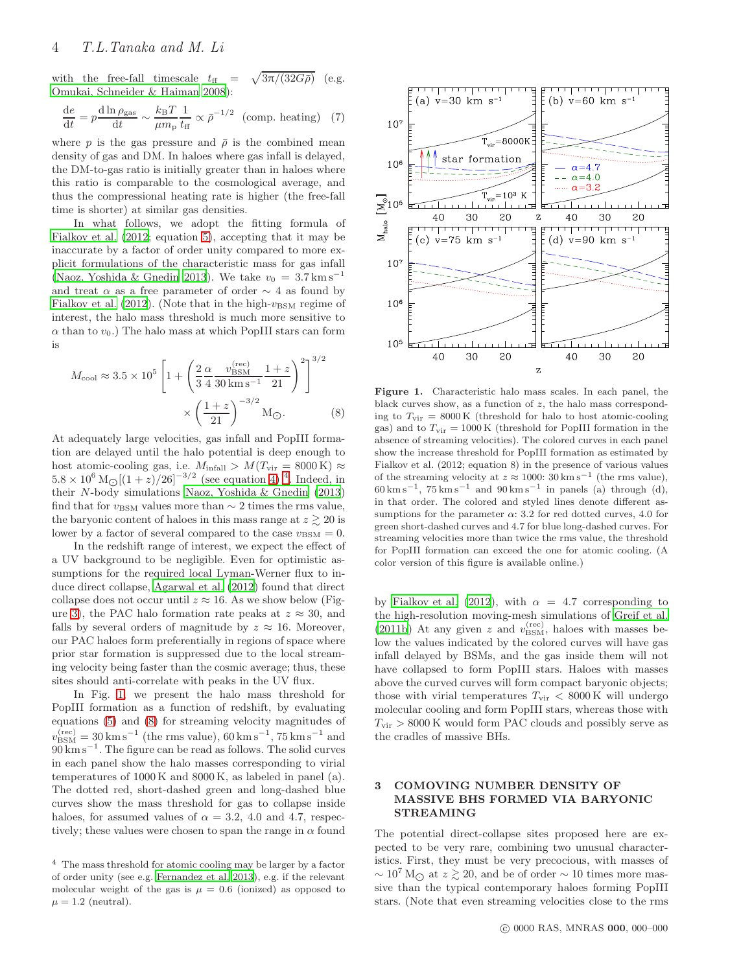with the free-fall timescale  $t_{\text{ff}}$  =  $\sqrt{3\pi/(32G\bar{\rho})}$  (e.g. [Omukai, Schneider & Haiman 2008\)](#page-8-59):

$$
\frac{de}{dt} = p \frac{d \ln \rho_{\text{gas}}}{dt} \sim \frac{k_{\text{B}}T}{\mu m_{\text{p}}} \frac{1}{t_{\text{ff}}} \propto \bar{\rho}^{-1/2} \quad \text{(comp. heating)} \quad (7)
$$

where p is the gas pressure and  $\bar{\rho}$  is the combined mean density of gas and DM. In haloes where gas infall is delayed, the DM-to-gas ratio is initially greater than in haloes where this ratio is comparable to the cosmological average, and thus the compressional heating rate is higher (the free-fall time is shorter) at similar gas densities.

In what follows, we adopt the fitting formula of [Fialkov et al. \(2012;](#page-8-55) equation [5\)](#page-2-4), accepting that it may be inaccurate by a factor of order unity compared to more explicit formulations of the characteristic mass for gas infall [\(Naoz, Yoshida & Gnedin 2013](#page-8-49)). We take  $v_0 = 3.7 \text{ km s}^{-1}$ and treat  $\alpha$  as a free parameter of order  $\sim$  4 as found by [Fialkov et al. \(2012](#page-8-55)). (Note that in the high- $v_{\text{BSM}}$  regime of interest, the halo mass threshold is much more sensitive to  $\alpha$  than to  $v_0$ .) The halo mass at which PopIII stars can form is

$$
M_{\text{cool}} \approx 3.5 \times 10^5 \left[ 1 + \left( \frac{2}{3} \frac{\alpha}{4} \frac{v_{\text{BSM}}^{\text{(rec)}}}{30 \text{ km s}^{-1}} \frac{1+z}{21} \right)^2 \right]^{3/2} \times \left( \frac{1+z}{21} \right)^{-3/2} \text{M}_{\odot}.
$$
 (8)

At adequately large velocities, gas infall and PopIII formation are delayed until the halo potential is deep enough to host atomic-cooling gas, i.e.  $M_{\text{infall}} > M(T_{\text{vir}} = 8000 \text{ K}) \approx$  $5.8 \times 10^6 \,\mathrm{M_{\bigodot}}[(1+z)/26]^{-3/2}$  (see equation [4\)](#page-2-5)<sup>[4](#page-3-1)</sup>. Indeed, in their N-body simulations [Naoz, Yoshida & Gnedin \(2013](#page-8-49)) find that for  $v_{\text{BSM}}$  values more than  $\sim 2$  times the rms value, the baryonic content of haloes in this mass range at  $z \gtrsim 20$  is lower by a factor of several compared to the case  $v_{\text{BSM}} = 0$ .

In the redshift range of interest, we expect the effect of a UV background to be negligible. Even for optimistic assumptions for the required local Lyman-Werner flux to induce direct collapse, [Agarwal et al. \(2012\)](#page-8-28) found that direct collapse does not occur until  $z \approx 16$ . As we show below (Fig-ure [3\)](#page-6-1), the PAC halo formation rate peaks at  $z \approx 30$ , and falls by several orders of magnitude by  $z \approx 16$ . Moreover, our PAC haloes form preferentially in regions of space where prior star formation is suppressed due to the local streaming velocity being faster than the cosmic average; thus, these sites should anti-correlate with peaks in the UV flux.

In Fig. [1,](#page-3-2) we present the halo mass threshold for PopIII formation as a function of redshift, by evaluating equations [\(5\)](#page-2-4) and [\(8\)](#page-3-3) for streaming velocity magnitudes of  $v_{\rm BSM}^{\rm (rec)} = 30\,{\rm km\,s^{-1}}$  (the rms value), 60 km s<sup>-1</sup>, 75 km s<sup>-1</sup> and  $90 \text{ km s}^{-1}$ . The figure can be read as follows. The solid curves in each panel show the halo masses corresponding to virial temperatures of 1000 K and 8000 K, as labeled in panel (a). The dotted red, short-dashed green and long-dashed blue curves show the mass threshold for gas to collapse inside haloes, for assumed values of  $\alpha = 3.2$ , 4.0 and 4.7, respectively; these values were chosen to span the range in  $\alpha$  found



<span id="page-3-3"></span><span id="page-3-2"></span>Figure 1. Characteristic halo mass scales. In each panel, the black curves show, as a function of  $z$ , the halo mass corresponding to  $T_{\text{vir}} = 8000 \text{ K}$  (threshold for halo to host atomic-cooling gas) and to  $T_{\text{vir}} = 1000 \text{ K}$  (threshold for PopIII formation in the absence of streaming velocities). The colored curves in each panel show the increase threshold for PopIII formation as estimated by Fialkov et al. (2012; equation 8) in the presence of various values of the streaming velocity at  $z \approx 1000$ :  $30 \text{ km s}^{-1}$  (the rms value),  $60 \text{ km s}^{-1}$ ,  $75 \text{ km s}^{-1}$  and  $90 \text{ km s}^{-1}$  in panels (a) through (d), in that order. The colored and styled lines denote different assumptions for the parameter  $\alpha$ : 3.2 for red dotted curves, 4.0 for green short-dashed curves and 4.7 for blue long-dashed curves. For streaming velocities more than twice the rms value, the threshold for PopIII formation can exceed the one for atomic cooling. (A color version of this figure is available online.)

by [Fialkov et al. \(2012\)](#page-8-55), with  $\alpha = 4.7$  corresponding to the high-resolution moving-mesh simulations of [Greif et al.](#page-8-48) [\(2011b](#page-8-48)) At any given z and  $v_{\text{BSM}}^{(\text{rec})}$ , haloes with masses below the values indicated by the colored curves will have gas infall delayed by BSMs, and the gas inside them will not have collapsed to form PopIII stars. Haloes with masses above the curved curves will form compact baryonic objects; those with virial temperatures  $T_{\text{vir}} < 8000 \text{ K}$  will undergo molecular cooling and form PopIII stars, whereas those with  $T_{\text{vir}} > 8000 \,\text{K}$  would form PAC clouds and possibly serve as the cradles of massive BHs.

# <span id="page-3-0"></span>3 COMOVING NUMBER DENSITY OF MASSIVE BHS FORMED VIA BARYONIC STREAMING

The potential direct-collapse sites proposed here are expected to be very rare, combining two unusual characteristics. First, they must be very precocious, with masses of  $\sim 10^7$  M<sub> $\odot$ </sub> at  $z \gtrsim 20$ , and be of order  $\sim 10$  times more massive than the typical contemporary haloes forming PopIII stars. (Note that even streaming velocities close to the rms

<span id="page-3-1"></span><sup>4</sup> The mass threshold for atomic cooling may be larger by a factor of order unity (see e.g. [Fernandez et al. 2013](#page-8-60)), e.g. if the relevant molecular weight of the gas is  $\mu = 0.6$  (ionized) as opposed to  $\mu = 1.2$  (neutral).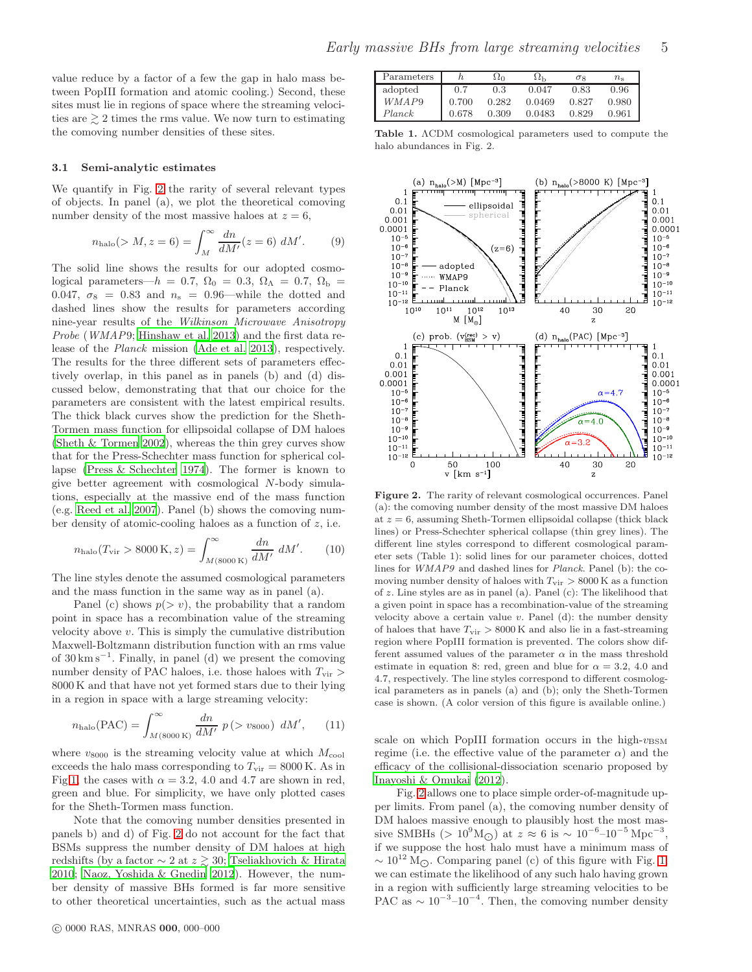value reduce by a factor of a few the gap in halo mass between PopIII formation and atomic cooling.) Second, these sites must lie in regions of space where the streaming velocities are  $\geq 2$  times the rms value. We now turn to estimating the comoving number densities of these sites.

### <span id="page-4-1"></span>3.1 Semi-analytic estimates

We quantify in Fig. [2](#page-4-0) the rarity of several relevant types of objects. In panel (a), we plot the theoretical comoving number density of the most massive haloes at  $z = 6$ ,

$$
n_{\rm halo}(>M, z=6) = \int_M^{\infty} \frac{dn}{dM'}(z=6) \; dM'. \tag{9}
$$

The solid line shows the results for our adopted cosmological parameters— $h = 0.7$ ,  $\Omega_0 = 0.3$ ,  $\Omega_\Lambda = 0.7$ ,  $\Omega_\mathrm{b} =$ 0.047,  $\sigma_8$  = 0.83 and  $n_s$  = 0.96—while the dotted and dashed lines show the results for parameters according nine-year results of the Wilkinson Microwave Anisotropy Probe (WMAP9; [Hinshaw et al. 2013\)](#page-8-61) and the first data release of the Planck mission [\(Ade et al. 2013](#page-8-62)), respectively. The results for the three different sets of parameters effectively overlap, in this panel as in panels (b) and (d) discussed below, demonstrating that that our choice for the parameters are consistent with the latest empirical results. The thick black curves show the prediction for the Sheth-Tormen mass function for ellipsoidal collapse of DM haloes [\(Sheth & Tormen 2002](#page-8-63)), whereas the thin grey curves show that for the Press-Schechter mass function for spherical collapse [\(Press & Schechter 1974](#page-8-64)). The former is known to give better agreement with cosmological N-body simulations, especially at the massive end of the mass function (e.g. [Reed et al. 2007](#page-8-65)). Panel (b) shows the comoving number density of atomic-cooling haloes as a function of  $z$ , i.e.

$$
n_{\rm halo}(T_{\rm vir} > 8000 \,\mathrm{K}, z) = \int_{M(8000 \,\mathrm{K})}^{\infty} \frac{dn}{dM'} \, dM'. \tag{10}
$$

The line styles denote the assumed cosmological parameters and the mass function in the same way as in panel (a).

Panel (c) shows  $p(> v)$ , the probability that a random point in space has a recombination value of the streaming velocity above v. This is simply the cumulative distribution Maxwell-Boltzmann distribution function with an rms value of  $30 \text{ km s}^{-1}$ . Finally, in panel (d) we present the comoving number density of PAC haloes, i.e. those haloes with  $T_{\rm vir}$  > 8000 K and that have not yet formed stars due to their lying in a region in space with a large streaming velocity:

$$
n_{\rm halo}(\text{PAC}) = \int_{M(8000\,\text{K})}^{\infty} \frac{dn}{dM'} \ p(> v_{8000}) \ dM', \qquad (11)
$$

where  $v_{8000}$  is the streaming velocity value at which  $M_{\rm cool}$ exceeds the halo mass corresponding to  $T_{\text{vir}} = 8000 \text{ K}$ . As in Fig[.1,](#page-3-2) the cases with  $\alpha = 3.2$ , 4.0 and 4.7 are shown in red, green and blue. For simplicity, we have only plotted cases for the Sheth-Tormen mass function.

Note that the comoving number densities presented in panels b) and d) of Fig. [2](#page-4-0) do not account for the fact that BSMs suppress the number density of DM haloes at high redshifts (by a factor  $\sim$  2 at  $z \gtrsim$  30; [Tseliakhovich & Hirata](#page-9-13) [2010](#page-9-13); [Naoz, Yoshida & Gnedin 2012](#page-8-66)). However, the number density of massive BHs formed is far more sensitive to other theoretical uncertainties, such as the actual mass

| Parameters |       | \ Z∩  | sιh    | σ×    | $n_{\rm s}$ |
|------------|-------|-------|--------|-------|-------------|
| adopted    | 0.7   | 0.3   | 0.047  | 0.83  | 0.96        |
| WMAP9      | 0.700 | 0.282 | 0.0469 | 0.827 | 0.980       |
| Planck     | 0.678 | 0.309 | 0.0483 | 0.829 | 0.961       |

Table 1. ΛCDM cosmological parameters used to compute the halo abundances in Fig. 2.



<span id="page-4-0"></span>Figure 2. The rarity of relevant cosmological occurrences. Panel (a): the comoving number density of the most massive DM haloes at  $z = 6$ , assuming Sheth-Tormen ellipsoidal collapse (thick black lines) or Press-Schechter spherical collapse (thin grey lines). The different line styles correspond to different cosmological parameter sets (Table 1): solid lines for our parameter choices, dotted lines for WMAP9 and dashed lines for Planck. Panel (b): the comoving number density of haloes with  $T_{\rm vir} > 8000\,\rm K$  as a function of z. Line styles are as in panel (a). Panel (c): The likelihood that a given point in space has a recombination-value of the streaming velocity above a certain value  $v$ . Panel (d): the number density of haloes that have  $T_{\text{vir}} > 8000 \text{ K}$  and also lie in a fast-streaming region where PopIII formation is prevented. The colors show different assumed values of the parameter  $\alpha$  in the mass threshold estimate in equation 8: red, green and blue for  $\alpha = 3.2, 4.0$  and 4.7, respectively. The line styles correspond to different cosmological parameters as in panels (a) and (b); only the Sheth-Tormen case is shown. (A color version of this figure is available online.)

scale on which PopIII formation occurs in the high- $v_{\text{BSM}}$ regime (i.e. the effective value of the parameter  $\alpha$ ) and the efficacy of the collisional-dissociation scenario proposed by [Inayoshi & Omukai \(2012](#page-8-43)).

Fig. [2](#page-4-0) allows one to place simple order-of-magnitude upper limits. From panel (a), the comoving number density of DM haloes massive enough to plausibly host the most massive SMBHs (>  $10^9 \text{M}_{\odot}$ ) at  $z \approx 6$  is ~  $10^{-6}$ - $10^{-5} \text{Mpc}^{-3}$ , if we suppose the host halo must have a minimum mass of  $\sim 10^{12}$  M<sub> $\odot$ </sub>. Comparing panel (c) of this figure with Fig. [1,](#page-3-2) we can estimate the likelihood of any such halo having grown in a region with sufficiently large streaming velocities to be PAC as  $\sim 10^{-3}$ – $10^{-4}$ . Then, the comoving number density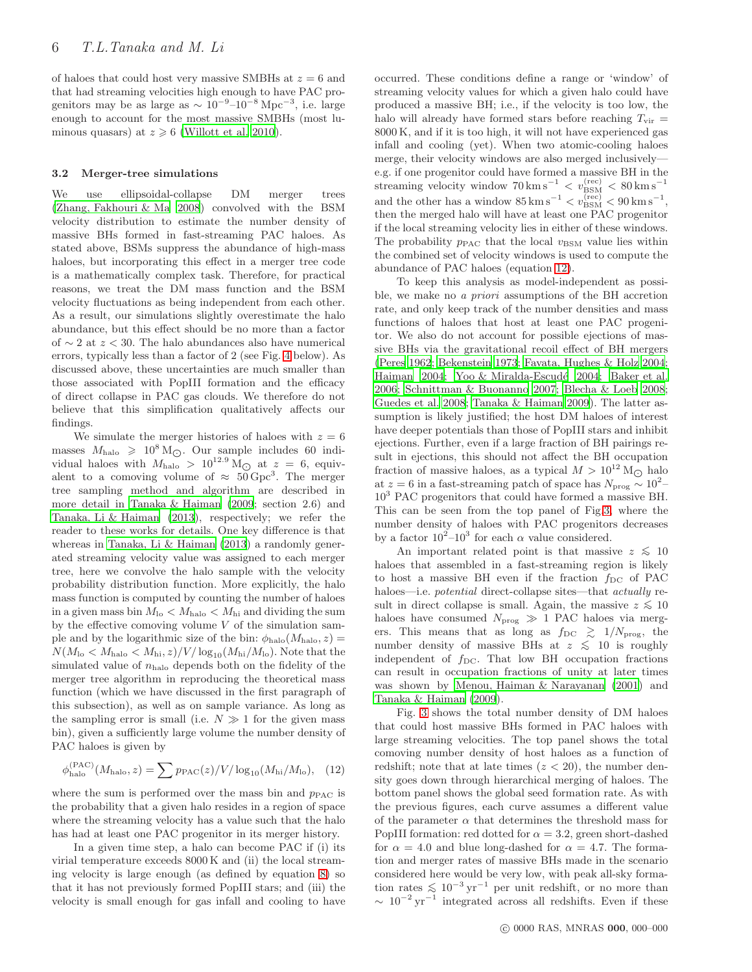of haloes that could host very massive SMBHs at  $z = 6$  and that had streaming velocities high enough to have PAC progenitors may be as large as  $\sim 10^{-9}$ – $10^{-8}$  Mpc<sup>-3</sup>, i.e. large enough to account for the most massive SMBHs (most luminous quasars) at  $z \geq 6$  [\(Willott et al. 2010\)](#page-9-7).

#### 3.2 Merger-tree simulations

We use ellipsoidal-collapse DM merger trees [\(Zhang, Fakhouri & Ma 2008](#page-9-21)) convolved with the BSM velocity distribution to estimate the number density of massive BHs formed in fast-streaming PAC haloes. As stated above, BSMs suppress the abundance of high-mass haloes, but incorporating this effect in a merger tree code is a mathematically complex task. Therefore, for practical reasons, we treat the DM mass function and the BSM velocity fluctuations as being independent from each other. As a result, our simulations slightly overestimate the halo abundance, but this effect should be no more than a factor of  $\sim$  2 at  $z$  < 30. The halo abundances also have numerical errors, typically less than a factor of 2 (see Fig. [4](#page-6-2) below). As discussed above, these uncertainties are much smaller than those associated with PopIII formation and the efficacy of direct collapse in PAC gas clouds. We therefore do not believe that this simplification qualitatively affects our findings.

We simulate the merger histories of haloes with  $z = 6$ masses  $M_{\text{halo}} \geq 10^8 \text{ M}_{\odot}$ . Our sample includes 60 individual haloes with  $M_{\text{halo}} > 10^{12.9}$  M<sub>O</sub> at  $z = 6$ , equivalent to a comoving volume of  $\approx 50 \,\text{Gpc}^3$ . The merger tree sampling method and algorithm are described in more detail in [Tanaka & Haiman \(2009;](#page-9-5) section 2.6) and [Tanaka, Li & Haiman \(2013](#page-9-15)), respectively; we refer the reader to these works for details. One key difference is that whereas in [Tanaka, Li & Haiman \(2013\)](#page-9-15) a randomly generated streaming velocity value was assigned to each merger tree, here we convolve the halo sample with the velocity probability distribution function. More explicitly, the halo mass function is computed by counting the number of haloes in a given mass bin  $M_{\text{lo}} < M_{\text{halo}} < M_{\text{hi}}$  and dividing the sum by the effective comoving volume  $V$  of the simulation sample and by the logarithmic size of the bin:  $\phi_{halo}(M_{halo}, z) =$  $N(M_{\text{lo}} < M_{\text{halo}} < M_{\text{hi}}, z)/V/\log_{10}(M_{\text{hi}}/M_{\text{lo}})$ . Note that the simulated value of  $n_{halo}$  depends both on the fidelity of the merger tree algorithm in reproducing the theoretical mass function (which we have discussed in the first paragraph of this subsection), as well as on sample variance. As long as the sampling error is small (i.e.  $N \gg 1$  for the given mass bin), given a sufficiently large volume the number density of PAC haloes is given by

<span id="page-5-0"></span>
$$
\phi_{\rm halo}^{(\rm PAC)}(M_{\rm halo}, z) = \sum p_{\rm PAC}(z)/V/\log_{10}(M_{\rm hi}/M_{\rm lo}), \quad (12)
$$

where the sum is performed over the mass bin and  $p_{\text{PAC}}$  is the probability that a given halo resides in a region of space where the streaming velocity has a value such that the halo has had at least one PAC progenitor in its merger history.

In a given time step, a halo can become PAC if (i) its virial temperature exceeds 8000 K and (ii) the local streaming velocity is large enough (as defined by equation [8\)](#page-3-3) so that it has not previously formed PopIII stars; and (iii) the velocity is small enough for gas infall and cooling to have occurred. These conditions define a range or 'window' of streaming velocity values for which a given halo could have produced a massive BH; i.e., if the velocity is too low, the halo will already have formed stars before reaching  $T_{\text{vir}} =$ 8000 K, and if it is too high, it will not have experienced gas infall and cooling (yet). When two atomic-cooling haloes merge, their velocity windows are also merged inclusively e.g. if one progenitor could have formed a massive BH in the streaming velocity window  $70 \text{ km s}^{-1} < v_{\text{BSM}}^{\text{(rec)}} < 80 \text{ km s}^{-1}$ and the other has a window  $85 \,\mathrm{km\,s^{-1}} < v_{\rm BSM}^{\rm (rec)} < 90 \,\mathrm{km\,s^{-1}},$ then the merged halo will have at least one PAC progenitor if the local streaming velocity lies in either of these windows. The probability  $p_{\text{PAC}}$  that the local  $v_{\text{BSM}}$  value lies within the combined set of velocity windows is used to compute the abundance of PAC haloes (equation [12\)](#page-5-0).

To keep this analysis as model-independent as possible, we make no a priori assumptions of the BH accretion rate, and only keep track of the number densities and mass functions of haloes that host at least one PAC progenitor. We also do not account for possible ejections of massive BHs via the gravitational recoil effect of BH mergers [\(Peres 1962](#page-8-67); [Bekenstein 1973](#page-8-68); [Favata, Hughes & Holz 2004](#page-8-69); [Haiman 2004;](#page-8-70) Yoo & Miralda-Escudé 2004; [Baker et al.](#page-8-71) [2006](#page-8-71); [Schnittman & Buonanno 2007;](#page-8-72) [Blecha & Loeb 2008](#page-8-73); [Guedes et al. 2008](#page-8-74); [Tanaka & Haiman 2009](#page-9-5)). The latter assumption is likely justified; the host DM haloes of interest have deeper potentials than those of PopIII stars and inhibit ejections. Further, even if a large fraction of BH pairings result in ejections, this should not affect the BH occupation fraction of massive haloes, as a typical  $M > 10^{12}$  M<sub>O</sub> halo at  $z = 6$  in a fast-streaming patch of space has  $N_{\text{prog}} \sim 10^2 -$ 10<sup>3</sup> PAC progenitors that could have formed a massive BH. This can be seen from the top panel of Fig[.3,](#page-6-1) where the number density of haloes with PAC progenitors decreases by a factor  $10^2-10^3$  for each  $\alpha$  value considered.

An important related point is that massive  $z \lesssim 10$ haloes that assembled in a fast-streaming region is likely to host a massive BH even if the fraction  $f_{\text{DC}}$  of PAC haloes—i.e. *potential* direct-collapse sites—that *actually* result in direct collapse is small. Again, the massive  $z \lesssim 10$ haloes have consumed  $N_{\text{prog}} \gg 1$  PAC haloes via mergers. This means that as long as  $f_{\text{DC}} \ge 1/N_{\text{prog}}$ , the number density of massive BHs at  $z \le 10$  is roughly independent of  $f_{\text{DC}}$ . That low BH occupation fractions can result in occupation fractions of unity at later times was shown by [Menou, Haiman & Narayanan \(2001](#page-8-75)) and [Tanaka & Haiman \(2009](#page-9-5)).

Fig. [3](#page-6-1) shows the total number density of DM haloes that could host massive BHs formed in PAC haloes with large streaming velocities. The top panel shows the total comoving number density of host haloes as a function of redshift; note that at late times  $(z < 20)$ , the number density goes down through hierarchical merging of haloes. The bottom panel shows the global seed formation rate. As with the previous figures, each curve assumes a different value of the parameter  $\alpha$  that determines the threshold mass for PopIII formation: red dotted for  $\alpha = 3.2$ , green short-dashed for  $\alpha = 4.0$  and blue long-dashed for  $\alpha = 4.7$ . The formation and merger rates of massive BHs made in the scenario considered here would be very low, with peak all-sky formation rates  $\lesssim 10^{-3} \,\mathrm{yr}^{-1}$  per unit redshift, or no more than  $\sim 10^{-2}$  yr<sup>-1</sup> integrated across all redshifts. Even if these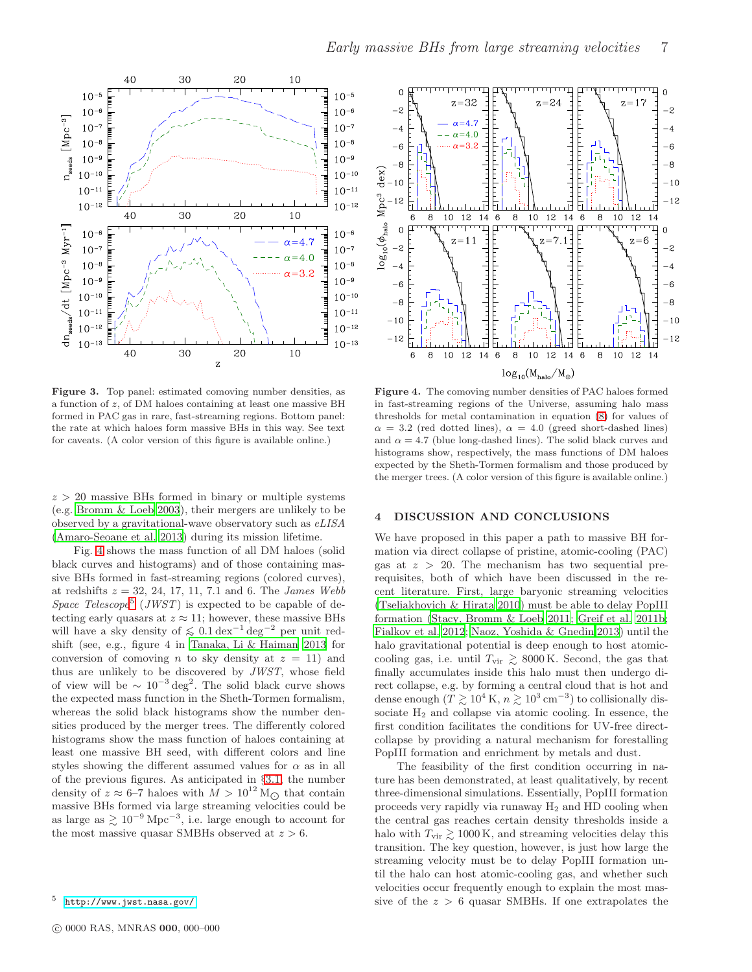

Early massive BHs from large streaming velocities 7

<span id="page-6-1"></span>Figure 3. Top panel: estimated comoving number densities, as a function of z, of DM haloes containing at least one massive BH formed in PAC gas in rare, fast-streaming regions. Bottom panel: the rate at which haloes form massive BHs in this way. See text for caveats. (A color version of this figure is available online.)

 $z > 20$  massive BHs formed in binary or multiple systems (e.g. [Bromm & Loeb 2003\)](#page-8-21), their mergers are unlikely to be observed by a gravitational-wave observatory such as eLISA [\(Amaro-Seoane et al. 2013\)](#page-8-76) during its mission lifetime.

Fig. [4](#page-6-2) shows the mass function of all DM haloes (solid black curves and histograms) and of those containing massive BHs formed in fast-streaming regions (colored curves), at redshifts  $z = 32, 24, 17, 11, 7.1$  and 6. The *James Webb* Space Telescope<sup>[5](#page-6-3)</sup> (JWST) is expected to be capable of detecting early quasars at  $z \approx 11$ ; however, these massive BHs will have a sky density of  $\leq 0.1 \,\text{dex}^{-1} \,\text{deg}^{-2}$  per unit redshift (see, e.g., figure 4 in [Tanaka, Li & Haiman 2013](#page-9-15) for conversion of comoving n to sky density at  $z = 11$ ) and thus are unlikely to be discovered by JWST, whose field of view will be  $\sim 10^{-3} \text{ deg}^2$ . The solid black curve shows the expected mass function in the Sheth-Tormen formalism, whereas the solid black histograms show the number densities produced by the merger trees. The differently colored histograms show the mass function of haloes containing at least one massive BH seed, with different colors and line styles showing the different assumed values for  $\alpha$  as in all of the previous figures. As anticipated in §[3.1,](#page-4-1) the number density of  $z \approx 6$ –7 haloes with  $M > 10^{12}$  M<sub> $\odot$ </sub> that contain massive BHs formed via large streaming velocities could be as large as  $\gtrsim 10^{-9}$  Mpc<sup>-3</sup>, i.e. large enough to account for the most massive quasar SMBHs observed at  $z > 6$ .



<span id="page-6-2"></span>Figure 4. The comoving number densities of PAC haloes formed in fast-streaming regions of the Universe, assuming halo mass thresholds for metal contamination in equation [\(8\)](#page-3-3) for values of  $\alpha = 3.2$  (red dotted lines),  $\alpha = 4.0$  (greed short-dashed lines) and  $\alpha = 4.7$  (blue long-dashed lines). The solid black curves and histograms show, respectively, the mass functions of DM haloes expected by the Sheth-Tormen formalism and those produced by the merger trees. (A color version of this figure is available online.)

#### <span id="page-6-0"></span>4 DISCUSSION AND CONCLUSIONS

We have proposed in this paper a path to massive BH formation via direct collapse of pristine, atomic-cooling (PAC) gas at  $z > 20$ . The mechanism has two sequential prerequisites, both of which have been discussed in the recent literature. First, large baryonic streaming velocities [\(Tseliakhovich & Hirata 2010\)](#page-9-13) must be able to delay PopIII formation [\(Stacy, Bromm & Loeb 2011](#page-9-14); [Greif et al. 2011b;](#page-8-48) [Fialkov et al. 2012;](#page-8-55) [Naoz, Yoshida & Gnedin 2013](#page-8-49)) until the halo gravitational potential is deep enough to host atomiccooling gas, i.e. until  $T_{\rm vir} \gtrsim 8000 \,\mathrm{K}$ . Second, the gas that finally accumulates inside this halo must then undergo direct collapse, e.g. by forming a central cloud that is hot and dense enough ( $T \gtrsim 10^4 \text{ K}, n \gtrsim 10^3 \text{ cm}^{-3}$ ) to collisionally dissociate  $H_2$  and collapse via atomic cooling. In essence, the first condition facilitates the conditions for UV-free directcollapse by providing a natural mechanism for forestalling PopIII formation and enrichment by metals and dust.

The feasibility of the first condition occurring in nature has been demonstrated, at least qualitatively, by recent three-dimensional simulations. Essentially, PopIII formation proceeds very rapidly via runaway  $H_2$  and HD cooling when the central gas reaches certain density thresholds inside a halo with  $T_{\rm vir} \gtrsim 1000 \,\rm K$ , and streaming velocities delay this transition. The key question, however, is just how large the streaming velocity must be to delay PopIII formation until the halo can host atomic-cooling gas, and whether such velocities occur frequently enough to explain the most massive of the  $z > 6$  quasar SMBHs. If one extrapolates the

<span id="page-6-3"></span><sup>5</sup> <http://www.jwst.nasa.gov/>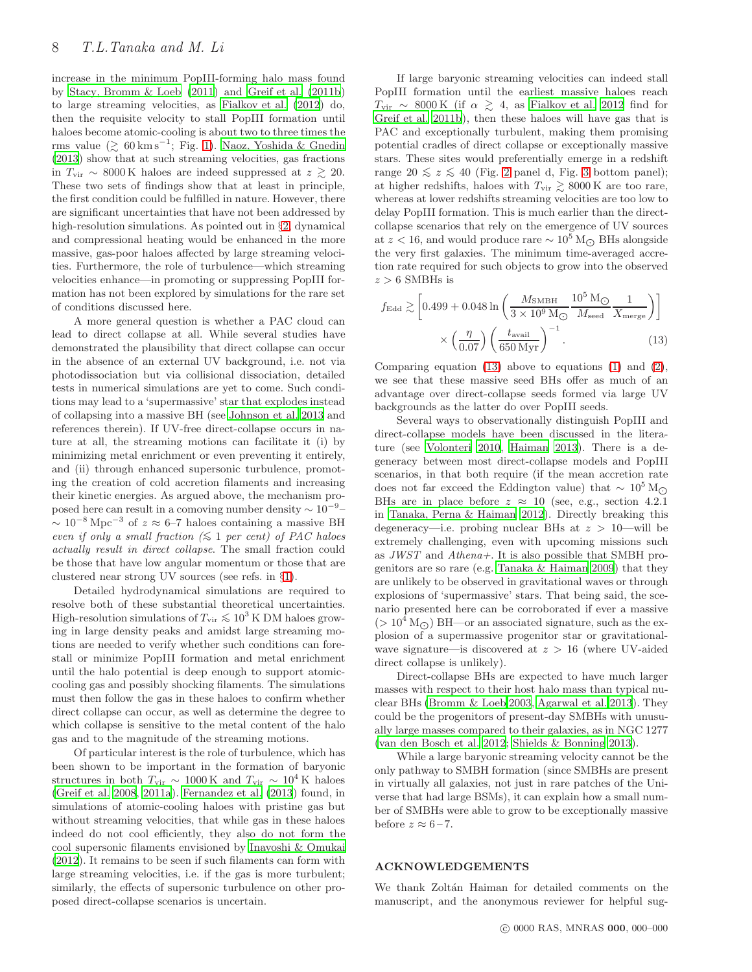increase in the minimum PopIII-forming halo mass found by [Stacy, Bromm & Loeb \(2011](#page-9-14)) and [Greif et al. \(2011b](#page-8-48)) to large streaming velocities, as [Fialkov et al. \(2012](#page-8-55)) do, then the requisite velocity to stall PopIII formation until haloes become atomic-cooling is about two to three times the rms value ( $\gtrsim 60 \,\mathrm{km \,s}^{-1}$ ; Fig. [1\)](#page-3-2). [Naoz, Yoshida & Gnedin](#page-8-49) [\(2013](#page-8-49)) show that at such streaming velocities, gas fractions in  $T_{\text{vir}}$  ~ 8000 K haloes are indeed suppressed at  $z \gtrsim 20$ . These two sets of findings show that at least in principle, the first condition could be fulfilled in nature. However, there are significant uncertainties that have not been addressed by high-resolution simulations. As pointed out in §[2,](#page-2-2) dynamical and compressional heating would be enhanced in the more massive, gas-poor haloes affected by large streaming velocities. Furthermore, the role of turbulence—which streaming velocities enhance—in promoting or suppressing PopIII formation has not been explored by simulations for the rare set of conditions discussed here.

A more general question is whether a PAC cloud can lead to direct collapse at all. While several studies have demonstrated the plausibility that direct collapse can occur in the absence of an external UV background, i.e. not via photodissociation but via collisional dissociation, detailed tests in numerical simulations are yet to come. Such conditions may lead to a 'supermassive' star that explodes instead of collapsing into a massive BH (see [Johnson et al. 2013](#page-8-77) and references therein). If UV-free direct-collapse occurs in nature at all, the streaming motions can facilitate it (i) by minimizing metal enrichment or even preventing it entirely, and (ii) through enhanced supersonic turbulence, promoting the creation of cold accretion filaments and increasing their kinetic energies. As argued above, the mechanism proposed here can result in a comoving number density  $\sim 10^{-9}$  $\sim 10^{-8}$  Mpc<sup>-3</sup> of  $z \approx 6$ -7 haloes containing a massive BH even if only a small fraction  $(≤ 1 per cent)$  of PAC haloes actually result in direct collapse. The small fraction could be those that have low angular momentum or those that are clustered near strong UV sources (see refs. in §[1\)](#page-0-1).

Detailed hydrodynamical simulations are required to resolve both of these substantial theoretical uncertainties. High-resolution simulations of  $T_{\text{vir}} \lesssim 10^3 \text{ K} \text{ DM}$  haloes growing in large density peaks and amidst large streaming motions are needed to verify whether such conditions can forestall or minimize PopIII formation and metal enrichment until the halo potential is deep enough to support atomiccooling gas and possibly shocking filaments. The simulations must then follow the gas in these haloes to confirm whether direct collapse can occur, as well as determine the degree to which collapse is sensitive to the metal content of the halo gas and to the magnitude of the streaming motions.

Of particular interest is the role of turbulence, which has been shown to be important in the formation of baryonic structures in both  $T_{\text{vir}} \sim 1000 \,\text{K}$  and  $T_{\text{vir}} \sim 10^4 \,\text{K}$  haloes [\(Greif et al. 2008](#page-8-40), [2011a](#page-8-13)). [Fernandez et al. \(2013](#page-8-60)) found, in simulations of atomic-cooling haloes with pristine gas but without streaming velocities, that while gas in these haloes indeed do not cool efficiently, they also do not form the cool supersonic filaments envisioned by [Inayoshi & Omukai](#page-8-43) [\(2012](#page-8-43)). It remains to be seen if such filaments can form with large streaming velocities, i.e. if the gas is more turbulent; similarly, the effects of supersonic turbulence on other proposed direct-collapse scenarios is uncertain.

If large baryonic streaming velocities can indeed stall PopIII formation until the earliest massive haloes reach  $T_{\rm vir} \sim 8000 \,\mathrm{K}$  (if  $\alpha \gtrsim 4$ , as [Fialkov et al. 2012](#page-8-55) find for [Greif et al. 2011b](#page-8-48)), then these haloes will have gas that is PAC and exceptionally turbulent, making them promising potential cradles of direct collapse or exceptionally massive stars. These sites would preferentially emerge in a redshift range [2](#page-4-0)0 ≤  $z$  ≤ 40 (Fig. 2 panel d, Fig. [3](#page-6-1) bottom panel); at higher redshifts, haloes with  $T_{\rm vir} \gtrsim 8000 \,\rm K$  are too rare, whereas at lower redshifts streaming velocities are too low to delay PopIII formation. This is much earlier than the directcollapse scenarios that rely on the emergence of UV sources at  $z < 16$ , and would produce rare  $\sim 10^5$  M<sub> $\odot$ </sub> BHs alongside the very first galaxies. The minimum time-averaged accretion rate required for such objects to grow into the observed  $z > 6$  SMBHs is

<span id="page-7-0"></span>
$$
f_{\rm Edd} \gtrsim \left[ 0.499 + 0.048 \ln \left( \frac{M_{\rm SMBH}}{3 \times 10^9 \,\rm M_{\odot}} \frac{10^5 \,\rm M_{\odot}}{M_{\rm seed}} \frac{1}{X_{\rm merge}} \right) \right]
$$

$$
\times \left( \frac{\eta}{0.07} \right) \left( \frac{t_{\rm avail}}{650 \,\rm Myr} \right)^{-1} . \tag{13}
$$

Comparing equation  $(13)$  above to equations  $(1)$  and  $(2)$ , we see that these massive seed BHs offer as much of an advantage over direct-collapse seeds formed via large UV backgrounds as the latter do over PopIII seeds.

Several ways to observationally distinguish PopIII and direct-collapse models have been discussed in the literature (see [Volonteri 2010,](#page-9-1) [Haiman 2013](#page-8-2)). There is a degeneracy between most direct-collapse models and PopIII scenarios, in that both require (if the mean accretion rate does not far exceed the Eddington value) that  $\sim 10^5 \,\mathrm{M}_{\odot}$ BHs are in place before  $z \approx 10$  (see, e.g., section 4.2.1) in [Tanaka, Perna & Haiman 2012](#page-9-6)). Directly breaking this degeneracy—i.e. probing nuclear BHs at  $z > 10$ —will be extremely challenging, even with upcoming missions such as JWST and Athena+. It is also possible that SMBH progenitors are so rare (e.g. [Tanaka & Haiman 2009](#page-9-5)) that they are unlikely to be observed in gravitational waves or through explosions of 'supermassive' stars. That being said, the scenario presented here can be corroborated if ever a massive  $(> 10^4 \,\mathrm{M}_{\odot})$  BH—or an associated signature, such as the explosion of a supermassive progenitor star or gravitationalwave signature—is discovered at  $z > 16$  (where UV-aided direct collapse is unlikely).

Direct-collapse BHs are expected to have much larger masses with respect to their host halo mass than typical nuclear BHs [\(Bromm & Loeb 2003,](#page-8-21) [Agarwal et al. 2013](#page-8-78)). They could be the progenitors of present-day SMBHs with unusually large masses compared to their galaxies, as in NGC 1277 [\(van den Bosch et al. 2012](#page-9-23); [Shields & Bonning 2013](#page-9-24)).

While a large baryonic streaming velocity cannot be the only pathway to SMBH formation (since SMBHs are present in virtually all galaxies, not just in rare patches of the Universe that had large BSMs), it can explain how a small number of SMBHs were able to grow to be exceptionally massive before  $z \approx 6-7$ .

## ACKNOWLEDGEMENTS

We thank Zoltán Haiman for detailed comments on the manuscript, and the anonymous reviewer for helpful sug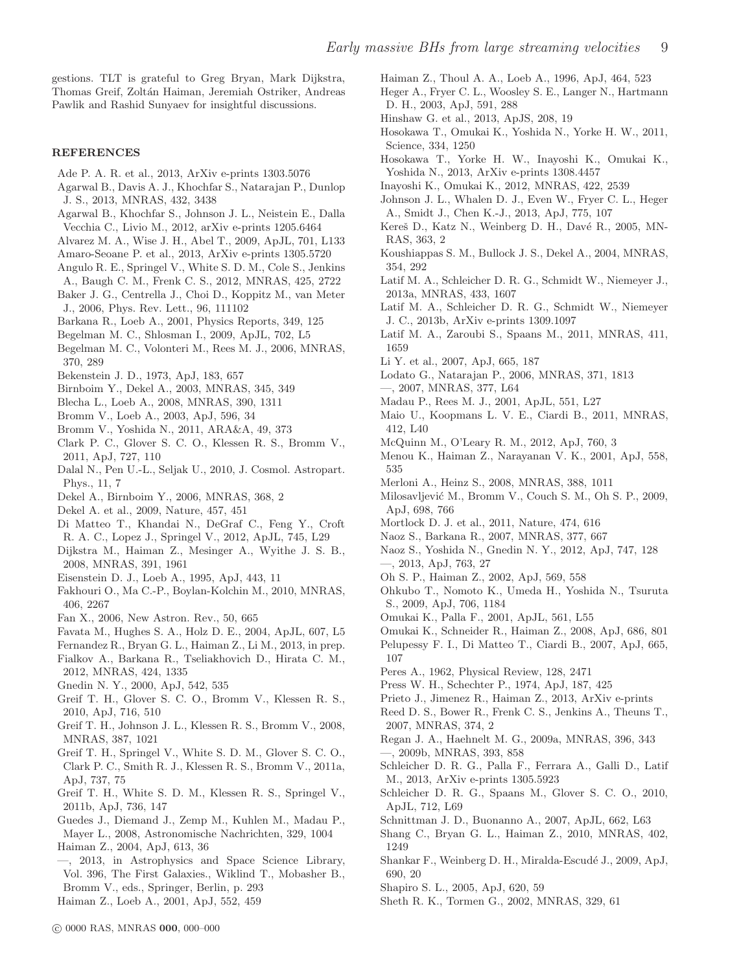gestions. TLT is grateful to Greg Bryan, Mark Dijkstra, Thomas Greif, Zoltán Haiman, Jeremiah Ostriker, Andreas Pawlik and Rashid Sunyaev for insightful discussions.

#### REFERENCES

- <span id="page-8-62"></span>Ade P. A. R. et al., 2013, ArXiv e-prints 1303.5076
- <span id="page-8-78"></span>Agarwal B., Davis A. J., Khochfar S., Natarajan P., Dunlop J. S., 2013, MNRAS, 432, 3438
- <span id="page-8-28"></span>Agarwal B., Khochfar S., Johnson J. L., Neistein E., Dalla Vecchia C., Livio M., 2012, arXiv e-prints 1205.6464
- <span id="page-8-18"></span>Alvarez M. A., Wise J. H., Abel T., 2009, ApJL, 701, L133
- <span id="page-8-76"></span>Amaro-Seoane P. et al., 2013, ArXiv e-prints 1305.5720
- <span id="page-8-17"></span>Angulo R. E., Springel V., White S. D. M., Cole S., Jenkins
- <span id="page-8-71"></span>A., Baugh C. M., Frenk C. S., 2012, MNRAS, 425, 2722 Baker J. G., Centrella J., Choi D., Koppitz M., van Meter
- J., 2006, Phys. Rev. Lett., 96, 111102
- <span id="page-8-54"></span>Barkana R., Loeb A., 2001, Physics Reports, 349, 125
- <span id="page-8-46"></span>Begelman M. C., Shlosman I., 2009, ApJL, 702, L5
- <span id="page-8-30"></span>Begelman M. C., Volonteri M., Rees M. J., 2006, MNRAS, 370, 289
- <span id="page-8-68"></span>Bekenstein J. D., 1973, ApJ, 183, 657
- <span id="page-8-36"></span>Birnboim Y., Dekel A., 2003, MNRAS, 345, 349
- <span id="page-8-73"></span>Blecha L., Loeb A., 2008, MNRAS, 390, 1311
- <span id="page-8-21"></span>Bromm V., Loeb A., 2003, ApJ, 596, 34
- <span id="page-8-8"></span>Bromm V., Yoshida N., 2011, ARA&A, 49, 373
- <span id="page-8-12"></span>Clark P. C., Glover S. C. O., Klessen R. S., Bromm V., 2011, ApJ, 727, 110
- <span id="page-8-51"></span>Dalal N., Pen U.-L., Seljak U., 2010, J. Cosmol. Astropart. Phys., 11, 7
- <span id="page-8-38"></span>Dekel A., Birnboim Y., 2006, MNRAS, 368, 2
- <span id="page-8-39"></span>Dekel A. et al., 2009, Nature, 457, 451
- <span id="page-8-41"></span>Di Matteo T., Khandai N., DeGraf C., Feng Y., Croft R. A. C., Lopez J., Springel V., 2012, ApJL, 745, L29
- <span id="page-8-24"></span>Dijkstra M., Haiman Z., Mesinger A., Wyithe J. S. B., 2008, MNRAS, 391, 1961
- <span id="page-8-47"></span>Eisenstein D. J., Loeb A., 1995, ApJ, 443, 11
- <span id="page-8-58"></span>Fakhouri O., Ma C.-P., Boylan-Kolchin M., 2010, MNRAS, 406, 2267
- <span id="page-8-0"></span>Fan X., 2006, New Astron. Rev., 50, 665
- <span id="page-8-69"></span>Favata M., Hughes S. A., Holz D. E., 2004, ApJL, 607, L5
- <span id="page-8-60"></span>Fernandez R., Bryan G. L., Haiman Z., Li M., 2013, in prep.
- <span id="page-8-55"></span>Fialkov A., Barkana R., Tseliakhovich D., Hirata C. M., 2012, MNRAS, 424, 1335
- <span id="page-8-56"></span>Gnedin N. Y., 2000, ApJ, 542, 535
- <span id="page-8-35"></span>Greif T. H., Glover S. C. O., Bromm V., Klessen R. S., 2010, ApJ, 716, 510
- <span id="page-8-40"></span>Greif T. H., Johnson J. L., Klessen R. S., Bromm V., 2008, MNRAS, 387, 1021
- <span id="page-8-13"></span>Greif T. H., Springel V., White S. D. M., Glover S. C. O., Clark P. C., Smith R. J., Klessen R. S., Bromm V., 2011a, ApJ, 737, 75
- <span id="page-8-48"></span>Greif T. H., White S. D. M., Klessen R. S., Springel V., 2011b, ApJ, 736, 147
- <span id="page-8-74"></span>Guedes J., Diemand J., Zemp M., Kuhlen M., Madau P.,

Mayer L., 2008, Astronomische Nachrichten, 329, 1004 Haiman Z., 2004, ApJ, 613, 36

- <span id="page-8-70"></span><span id="page-8-2"></span>—, 2013, in Astrophysics and Space Science Library, Vol. 396, The First Galaxies., Wiklind T., Mobasher B., Bromm V., eds., Springer, Berlin, p. 293
- <span id="page-8-4"></span>Haiman Z., Loeb A., 2001, ApJ, 552, 459

<span id="page-8-50"></span>Haiman Z., Thoul A. A., Loeb A., 1996, ApJ, 464, 523

- <span id="page-8-9"></span>Heger A., Fryer C. L., Woosley S. E., Langer N., Hartmann D. H., 2003, ApJ, 591, 288
- <span id="page-8-61"></span>Hinshaw G. et al., 2013, ApJS, 208, 19
- <span id="page-8-14"></span>Hosokawa T., Omukai K., Yoshida N., Yorke H. W., 2011, Science, 334, 1250
- <span id="page-8-31"></span>Hosokawa T., Yorke H. W., Inayoshi K., Omukai K., Yoshida N., 2013, ArXiv e-prints 1308.4457
- <span id="page-8-43"></span>Inayoshi K., Omukai K., 2012, MNRAS, 422, 2539
- <span id="page-8-77"></span>Johnson J. L., Whalen D. J., Even W., Fryer C. L., Heger A., Smidt J., Chen K.-J., 2013, ApJ, 775, 107
- <span id="page-8-37"></span>Kereš D., Katz N., Weinberg D. H., Davé R., 2005, MN-RAS, 363, 2
- <span id="page-8-22"></span>Koushiappas S. M., Bullock J. S., Dekel A., 2004, MNRAS, 354, 292
- <span id="page-8-29"></span>Latif M. A., Schleicher D. R. G., Schmidt W., Niemeyer J., 2013a, MNRAS, 433, 1607
- <span id="page-8-34"></span>Latif M. A., Schleicher D. R. G., Schmidt W., Niemeyer J. C., 2013b, ArXiv e-prints 1309.1097
- <span id="page-8-45"></span>Latif M. A., Zaroubi S., Spaans M., 2011, MNRAS, 411, 1659
- <span id="page-8-6"></span>Li Y. et al., 2007, ApJ, 665, 187
- <span id="page-8-23"></span>Lodato G., Natarajan P., 2006, MNRAS, 371, 1813
- <span id="page-8-33"></span>—, 2007, MNRAS, 377, L64
- <span id="page-8-3"></span>Madau P., Rees M. J., 2001, ApJL, 551, L27
- <span id="page-8-52"></span>Maio U., Koopmans L. V. E., Ciardi B., 2011, MNRAS, 412, L40
- <span id="page-8-53"></span>McQuinn M., O'Leary R. M., 2012, ApJ, 760, 3
- <span id="page-8-75"></span>Menou K., Haiman Z., Narayanan V. K., 2001, ApJ, 558, 535
- <span id="page-8-15"></span>Merloni A., Heinz S., 2008, MNRAS, 388, 1011
- <span id="page-8-19"></span>Milosavljević M., Bromm V., Couch S. M., Oh S. P., 2009, ApJ, 698, 766
- <span id="page-8-1"></span>Mortlock D. J. et al., 2011, Nature, 474, 616
- <span id="page-8-57"></span>Naoz S., Barkana R., 2007, MNRAS, 377, 667
- <span id="page-8-66"></span>Naoz S., Yoshida N., Gnedin N. Y., 2012, ApJ, 747, 128
- <span id="page-8-49"></span>—, 2013, ApJ, 763, 27
- <span id="page-8-20"></span>Oh S. P., Haiman Z., 2002, ApJ, 569, 558
- <span id="page-8-11"></span>Ohkubo T., Nomoto K., Umeda H., Yoshida N., Tsuruta S., 2009, ApJ, 706, 1184
- <span id="page-8-10"></span>Omukai K., Palla F., 2001, ApJL, 561, L55
- <span id="page-8-59"></span>Omukai K., Schneider R., Haiman Z., 2008, ApJ, 686, 801
- <span id="page-8-7"></span>Pelupessy F. I., Di Matteo T., Ciardi B., 2007, ApJ, 665, 107
- <span id="page-8-67"></span>Peres A., 1962, Physical Review, 128, 2471
- <span id="page-8-64"></span>Press W. H., Schechter P., 1974, ApJ, 187, 425
- <span id="page-8-42"></span>Prieto J., Jimenez R., Haiman Z., 2013, ArXiv e-prints
- <span id="page-8-65"></span>Reed D. S., Bower R., Frenk C. S., Jenkins A., Theuns T., 2007, MNRAS, 374, 2
- <span id="page-8-26"></span>Regan J. A., Haehnelt M. G., 2009a, MNRAS, 396, 343
- <span id="page-8-25"></span>—, 2009b, MNRAS, 393, 858
- <span id="page-8-32"></span>Schleicher D. R. G., Palla F., Ferrara A., Galli D., Latif M., 2013, ArXiv e-prints 1305.5923
- <span id="page-8-44"></span>Schleicher D. R. G., Spaans M., Glover S. C. O., 2010, ApJL, 712, L69
- <span id="page-8-72"></span>Schnittman J. D., Buonanno A., 2007, ApJL, 662, L63
- <span id="page-8-27"></span>Shang C., Bryan G. L., Haiman Z., 2010, MNRAS, 402, 1249
- <span id="page-8-16"></span>Shankar F., Weinberg D. H., Miralda-Escudé J., 2009, ApJ, 690, 20
- <span id="page-8-5"></span>Shapiro S. L., 2005, ApJ, 620, 59
- <span id="page-8-63"></span>Sheth R. K., Tormen G., 2002, MNRAS, 329, 61